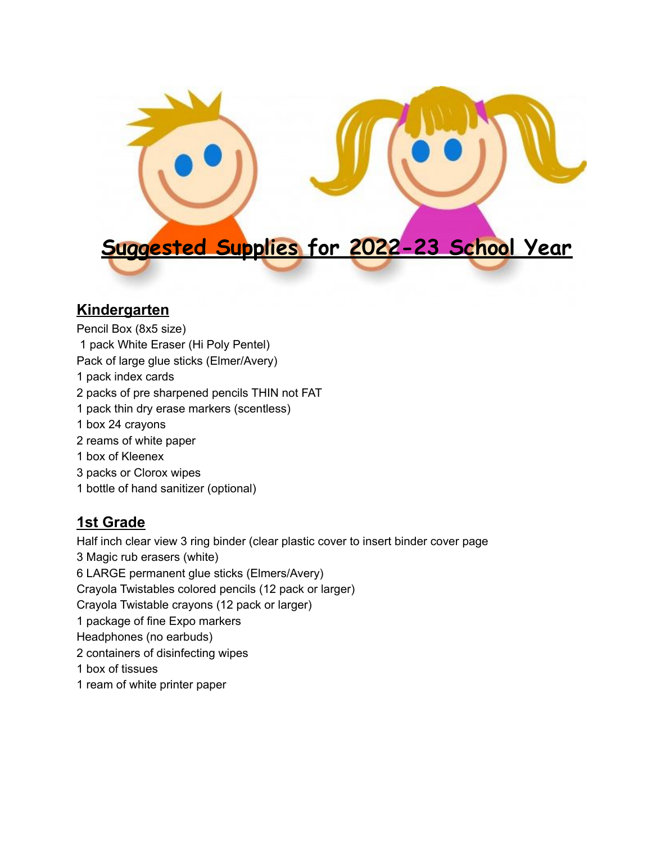

### **Kindergarten**

- Pencil Box (8x5 size) pack White Eraser (Hi Poly Pentel) Pack of large glue sticks (Elmer/Avery) pack index cards packs of pre sharpened pencils THIN not FAT pack thin dry erase markers (scentless) box 24 crayons reams of white paper box of Kleenex packs or Clorox wipes
- bottle of hand sanitizer (optional)

# **1st Grade**

Half inch clear view 3 ring binder (clear plastic cover to insert binder cover page Magic rub erasers (white) LARGE permanent glue sticks (Elmers/Avery) Crayola Twistables colored pencils (12 pack or larger) Crayola Twistable crayons (12 pack or larger) package of fine Expo markers Headphones (no earbuds) containers of disinfecting wipes box of tissues ream of white printer paper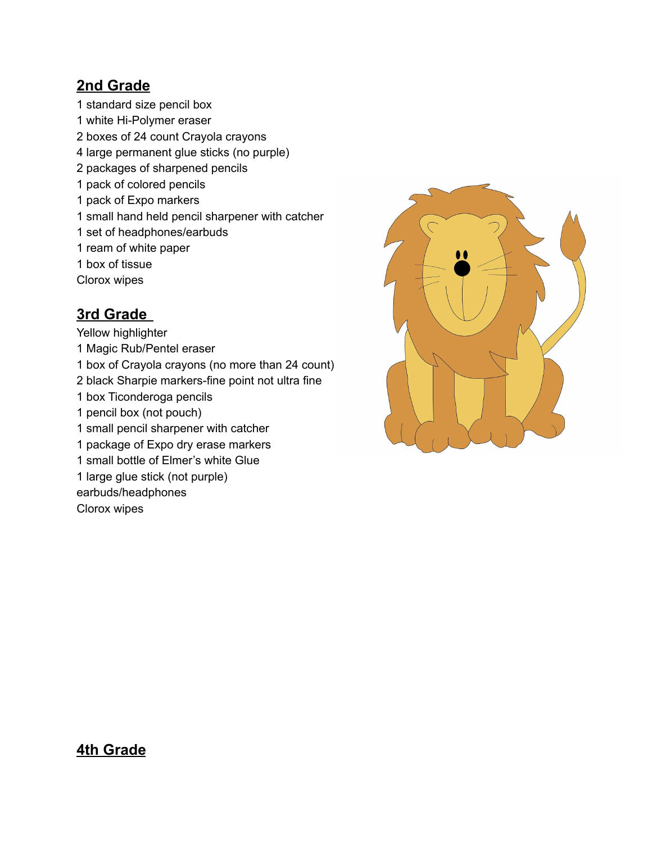## **2nd Grade**

standard size pencil box

- white Hi-Polymer eraser
- boxes of 24 count Crayola crayons
- large permanent glue sticks (no purple)
- packages of sharpened pencils
- pack of colored pencils
- pack of Expo markers
- small hand held pencil sharpener with catcher
- set of headphones/earbuds
- ream of white paper
- box of tissue
- Clorox wipes

## **3rd Grade**

- Yellow highlighter
- Magic Rub/Pentel eraser
- box of Crayola crayons (no more than 24 count)
- black Sharpie markers-fine point not ultra fine
- box Ticonderoga pencils
- pencil box (not pouch)
- small pencil sharpener with catcher
- package of Expo dry erase markers
- small bottle of Elmer's white Glue
- large glue stick (not purple)
- earbuds/headphones

Clorox wipes



#### **4th Grade**